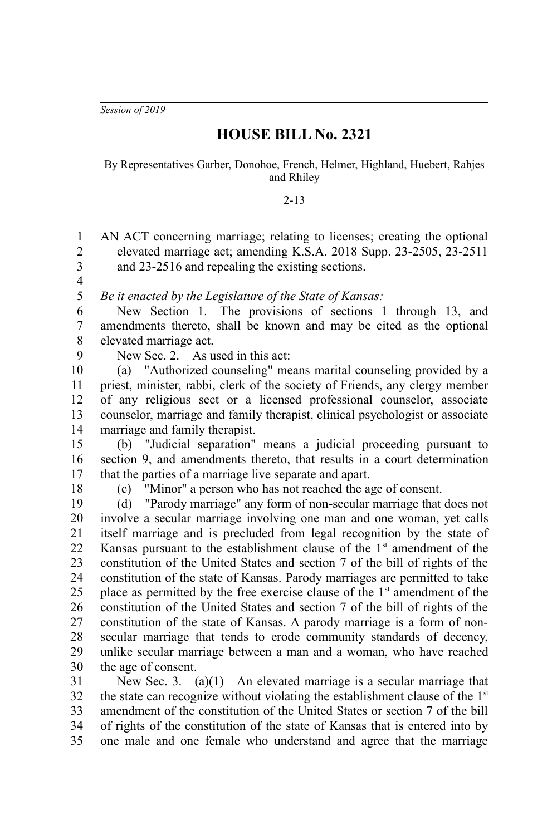*Session of 2019*

## **HOUSE BILL No. 2321**

By Representatives Garber, Donohoe, French, Helmer, Highland, Huebert, Rahjes and Rhiley

2-13

AN ACT concerning marriage; relating to licenses; creating the optional elevated marriage act; amending K.S.A. 2018 Supp. 23-2505, 23-2511 and 23-2516 and repealing the existing sections. *Be it enacted by the Legislature of the State of Kansas:* New Section 1. The provisions of sections 1 through 13, and amendments thereto, shall be known and may be cited as the optional elevated marriage act. New Sec. 2. As used in this act: (a) "Authorized counseling" means marital counseling provided by a priest, minister, rabbi, clerk of the society of Friends, any clergy member of any religious sect or a licensed professional counselor, associate counselor, marriage and family therapist, clinical psychologist or associate marriage and family therapist. (b) "Judicial separation" means a judicial proceeding pursuant to section 9, and amendments thereto, that results in a court determination that the parties of a marriage live separate and apart. (c) "Minor" a person who has not reached the age of consent. (d) "Parody marriage" any form of non-secular marriage that does not involve a secular marriage involving one man and one woman, yet calls itself marriage and is precluded from legal recognition by the state of Kansas pursuant to the establishment clause of the  $1<sup>st</sup>$  amendment of the constitution of the United States and section 7 of the bill of rights of the constitution of the state of Kansas. Parody marriages are permitted to take place as permitted by the free exercise clause of the  $1<sup>st</sup>$  amendment of the constitution of the United States and section 7 of the bill of rights of the constitution of the state of Kansas. A parody marriage is a form of nonsecular marriage that tends to erode community standards of decency, unlike secular marriage between a man and a woman, who have reached the age of consent. New Sec. 3. (a)(1) An elevated marriage is a secular marriage that the state can recognize without violating the establishment clause of the  $1<sup>st</sup>$ amendment of the constitution of the United States or section 7 of the bill of rights of the constitution of the state of Kansas that is entered into by one male and one female who understand and agree that the marriage 1 2 3 4 5 6 7 8 9 10 11 12 13 14 15 16 17 18 19 20 21 22 23 24 25 26 27 28 29 30 31 32 33 34 35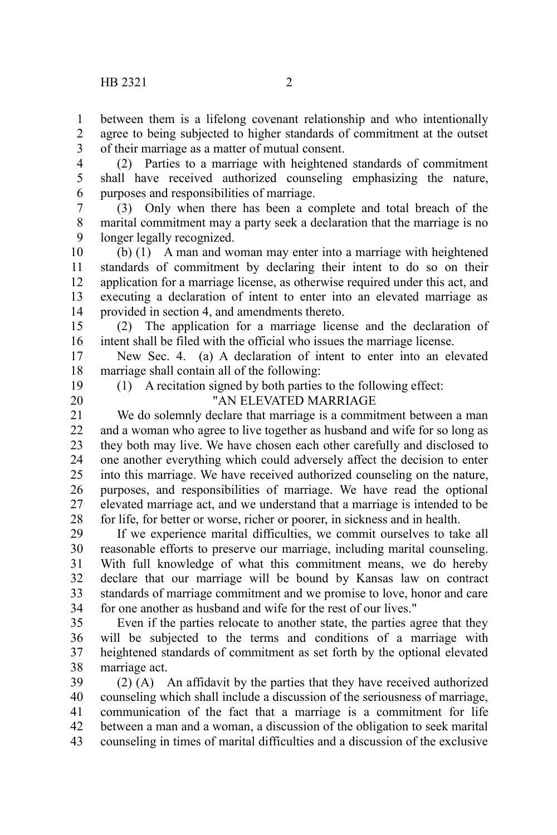between them is a lifelong covenant relationship and who intentionally agree to being subjected to higher standards of commitment at the outset of their marriage as a matter of mutual consent. 1 2 3

(2) Parties to a marriage with heightened standards of commitment shall have received authorized counseling emphasizing the nature, purposes and responsibilities of marriage. 4 5 6

(3) Only when there has been a complete and total breach of the marital commitment may a party seek a declaration that the marriage is no longer legally recognized. 7 8 9

 $(b)$  (1) A man and woman may enter into a marriage with heightened standards of commitment by declaring their intent to do so on their application for a marriage license, as otherwise required under this act, and executing a declaration of intent to enter into an elevated marriage as provided in section 4, and amendments thereto. 10 11 12 13 14

(2) The application for a marriage license and the declaration of intent shall be filed with the official who issues the marriage license. 15 16

New Sec. 4. (a) A declaration of intent to enter into an elevated marriage shall contain all of the following: 17 18

19

(1) A recitation signed by both parties to the following effect:

20

"AN ELEVATED MARRIAGE

We do solemnly declare that marriage is a commitment between a man and a woman who agree to live together as husband and wife for so long as they both may live. We have chosen each other carefully and disclosed to one another everything which could adversely affect the decision to enter into this marriage. We have received authorized counseling on the nature, purposes, and responsibilities of marriage. We have read the optional elevated marriage act, and we understand that a marriage is intended to be for life, for better or worse, richer or poorer, in sickness and in health. 21 22 23 24 25 26 27 28

If we experience marital difficulties, we commit ourselves to take all reasonable efforts to preserve our marriage, including marital counseling. With full knowledge of what this commitment means, we do hereby declare that our marriage will be bound by Kansas law on contract standards of marriage commitment and we promise to love, honor and care for one another as husband and wife for the rest of our lives." 29 30 31 32 33 34

Even if the parties relocate to another state, the parties agree that they will be subjected to the terms and conditions of a marriage with heightened standards of commitment as set forth by the optional elevated marriage act. 35 36 37 38

(2) (A) An affidavit by the parties that they have received authorized counseling which shall include a discussion of the seriousness of marriage, communication of the fact that a marriage is a commitment for life between a man and a woman, a discussion of the obligation to seek marital counseling in times of marital difficulties and a discussion of the exclusive 39 40 41 42 43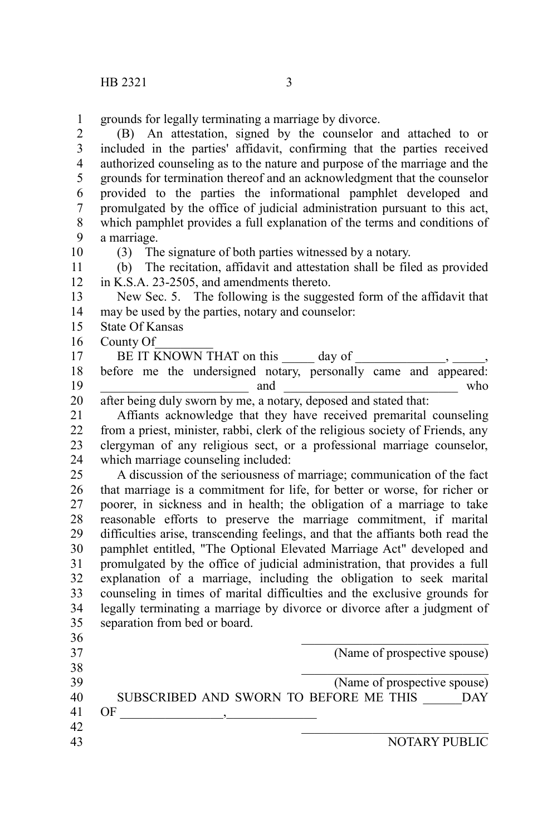grounds for legally terminating a marriage by divorce. 1

(B) An attestation, signed by the counselor and attached to or included in the parties' affidavit, confirming that the parties received authorized counseling as to the nature and purpose of the marriage and the grounds for termination thereof and an acknowledgment that the counselor provided to the parties the informational pamphlet developed and promulgated by the office of judicial administration pursuant to this act, which pamphlet provides a full explanation of the terms and conditions of a marriage. 2 3 4 5 6 7 8 9 10

(3) The signature of both parties witnessed by a notary.

(b) The recitation, affidavit and attestation shall be filed as provided in K.S.A. 23-2505, and amendments thereto. 11 12

New Sec. 5. The following is the suggested form of the affidavit that may be used by the parties, notary and counselor: 13 14

- State Of Kansas 15
- County Of 16

BE IT KNOWN THAT on this \_\_\_\_\_\_\_ day of 17

before me the undersigned notary, personally came and appeared: \_\_\_\_\_\_\_\_\_\_\_\_\_\_\_\_\_\_\_\_\_\_\_ and \_\_\_\_\_\_\_\_\_\_\_\_\_\_\_\_\_\_\_\_\_\_\_\_\_\_\_ who 18 19

after being duly sworn by me, a notary, deposed and stated that: 20

Affiants acknowledge that they have received premarital counseling from a priest, minister, rabbi, clerk of the religious society of Friends, any clergyman of any religious sect, or a professional marriage counselor, which marriage counseling included: 21 22 23 24

A discussion of the seriousness of marriage; communication of the fact that marriage is a commitment for life, for better or worse, for richer or poorer, in sickness and in health; the obligation of a marriage to take reasonable efforts to preserve the marriage commitment, if marital difficulties arise, transcending feelings, and that the affiants both read the pamphlet entitled, "The Optional Elevated Marriage Act" developed and promulgated by the office of judicial administration, that provides a full explanation of a marriage, including the obligation to seek marital counseling in times of marital difficulties and the exclusive grounds for legally terminating a marriage by divorce or divorce after a judgment of separation from bed or board. 25 26 27 28 29 30 31 32 33 34 35

| 36 |                                        |                              |
|----|----------------------------------------|------------------------------|
| 37 |                                        | (Name of prospective spouse) |
| 38 |                                        |                              |
| 39 |                                        | (Name of prospective spouse) |
| 40 | SUBSCRIBED AND SWORN TO BEFORE ME THIS | DAY                          |
| 41 | ΩF                                     |                              |
| 42 |                                        |                              |
| 43 |                                        | NOTARY PUBLIC                |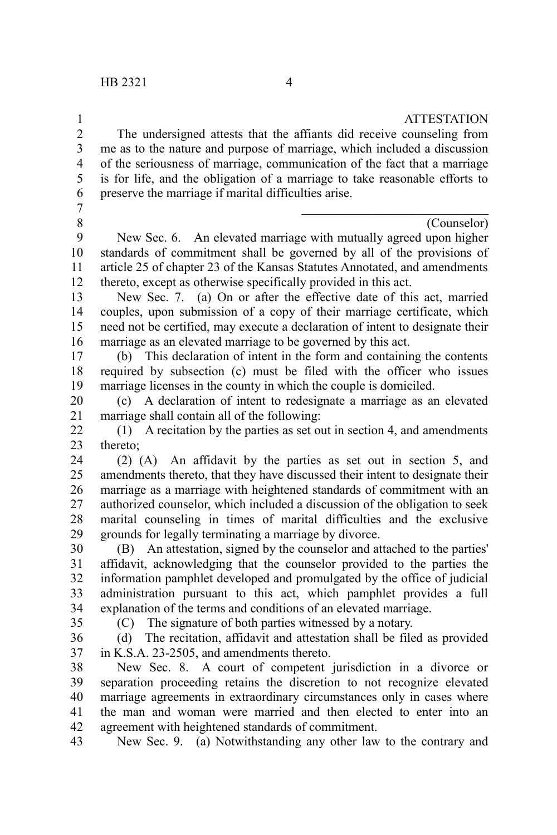## **ATTESTATION**

The undersigned attests that the affiants did receive counseling from me as to the nature and purpose of marriage, which included a discussion of the seriousness of marriage, communication of the fact that a marriage is for life, and the obligation of a marriage to take reasonable efforts to preserve the marriage if marital difficulties arise. 2 3 4 5 6

7 8

1

(Counselor)

New Sec. 6. An elevated marriage with mutually agreed upon higher standards of commitment shall be governed by all of the provisions of article 25 of chapter 23 of the Kansas Statutes Annotated, and amendments thereto, except as otherwise specifically provided in this act. 9 10 11 12

New Sec. 7. (a) On or after the effective date of this act, married couples, upon submission of a copy of their marriage certificate, which need not be certified, may execute a declaration of intent to designate their marriage as an elevated marriage to be governed by this act. 13 14 15 16

(b) This declaration of intent in the form and containing the contents required by subsection (c) must be filed with the officer who issues marriage licenses in the county in which the couple is domiciled. 17 18 19

(c) A declaration of intent to redesignate a marriage as an elevated marriage shall contain all of the following: 20 21

(1) A recitation by the parties as set out in section 4, and amendments thereto; 22 23

(2) (A) An affidavit by the parties as set out in section 5, and amendments thereto, that they have discussed their intent to designate their marriage as a marriage with heightened standards of commitment with an authorized counselor, which included a discussion of the obligation to seek marital counseling in times of marital difficulties and the exclusive grounds for legally terminating a marriage by divorce. 24 25 26 27 28 29

(B) An attestation, signed by the counselor and attached to the parties' affidavit, acknowledging that the counselor provided to the parties the information pamphlet developed and promulgated by the office of judicial administration pursuant to this act, which pamphlet provides a full explanation of the terms and conditions of an elevated marriage. 30 31 32 33 34

35

(C) The signature of both parties witnessed by a notary.

(d) The recitation, affidavit and attestation shall be filed as provided in K.S.A. 23-2505, and amendments thereto. 36 37

New Sec. 8. A court of competent jurisdiction in a divorce or separation proceeding retains the discretion to not recognize elevated marriage agreements in extraordinary circumstances only in cases where the man and woman were married and then elected to enter into an agreement with heightened standards of commitment. 38 39 40 41 42

New Sec. 9. (a) Notwithstanding any other law to the contrary and 43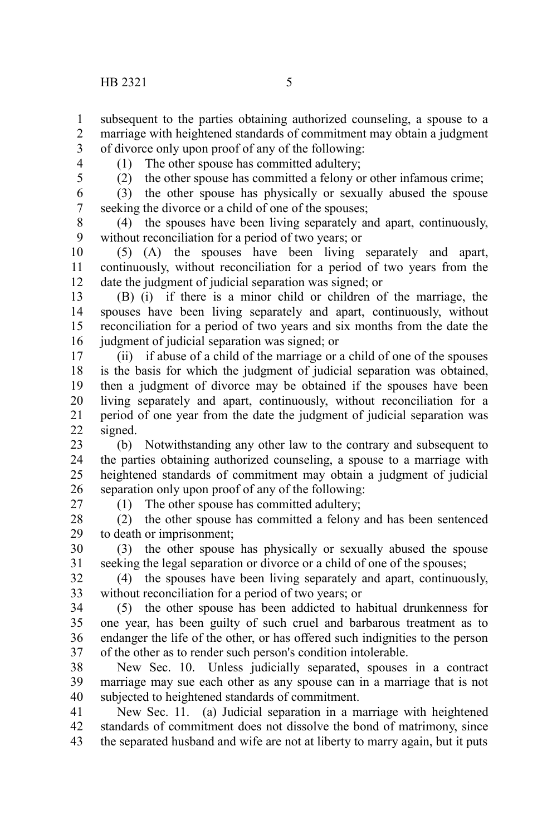subsequent to the parties obtaining authorized counseling, a spouse to a marriage with heightened standards of commitment may obtain a judgment of divorce only upon proof of any of the following: 1 2 3

4 5 (1) The other spouse has committed adultery;

(2) the other spouse has committed a felony or other infamous crime;

(3) the other spouse has physically or sexually abused the spouse seeking the divorce or a child of one of the spouses; 6 7

(4) the spouses have been living separately and apart, continuously, without reconciliation for a period of two years; or 8 9

(5) (A) the spouses have been living separately and apart, continuously, without reconciliation for a period of two years from the date the judgment of judicial separation was signed; or 10 11 12

(B) (i) if there is a minor child or children of the marriage, the spouses have been living separately and apart, continuously, without reconciliation for a period of two years and six months from the date the judgment of judicial separation was signed; or 13 14 15 16

(ii) if abuse of a child of the marriage or a child of one of the spouses is the basis for which the judgment of judicial separation was obtained, then a judgment of divorce may be obtained if the spouses have been living separately and apart, continuously, without reconciliation for a period of one year from the date the judgment of judicial separation was signed. 17 18 19 20 21 22

(b) Notwithstanding any other law to the contrary and subsequent to the parties obtaining authorized counseling, a spouse to a marriage with heightened standards of commitment may obtain a judgment of judicial separation only upon proof of any of the following: 23 24 25 26

27

(1) The other spouse has committed adultery;

(2) the other spouse has committed a felony and has been sentenced to death or imprisonment; 28 29

(3) the other spouse has physically or sexually abused the spouse seeking the legal separation or divorce or a child of one of the spouses; 30 31

(4) the spouses have been living separately and apart, continuously, without reconciliation for a period of two years; or 32 33

(5) the other spouse has been addicted to habitual drunkenness for one year, has been guilty of such cruel and barbarous treatment as to endanger the life of the other, or has offered such indignities to the person of the other as to render such person's condition intolerable. 34 35 36 37

New Sec. 10. Unless judicially separated, spouses in a contract marriage may sue each other as any spouse can in a marriage that is not subjected to heightened standards of commitment. 38 39 40

New Sec. 11. (a) Judicial separation in a marriage with heightened standards of commitment does not dissolve the bond of matrimony, since the separated husband and wife are not at liberty to marry again, but it puts 41 42 43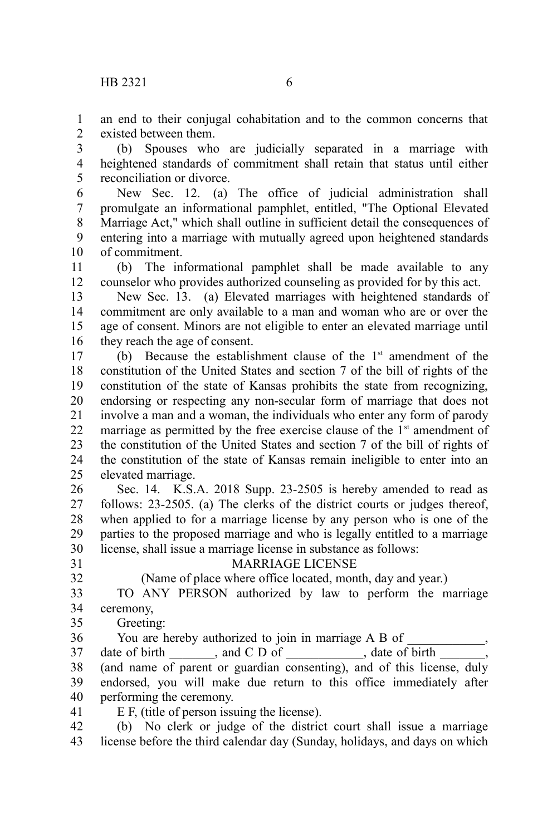an end to their conjugal cohabitation and to the common concerns that existed between them. 1  $\mathcal{L}$ 

(b) Spouses who are judicially separated in a marriage with heightened standards of commitment shall retain that status until either reconciliation or divorce. 3 4 5

New Sec. 12. (a) The office of judicial administration shall promulgate an informational pamphlet, entitled, "The Optional Elevated Marriage Act," which shall outline in sufficient detail the consequences of entering into a marriage with mutually agreed upon heightened standards of commitment. 6 7 8 9 10

(b) The informational pamphlet shall be made available to any counselor who provides authorized counseling as provided for by this act. 11 12

New Sec. 13. (a) Elevated marriages with heightened standards of commitment are only available to a man and woman who are or over the age of consent. Minors are not eligible to enter an elevated marriage until they reach the age of consent. 13 14 15 16

(b) Because the establishment clause of the  $1<sup>st</sup>$  amendment of the constitution of the United States and section 7 of the bill of rights of the constitution of the state of Kansas prohibits the state from recognizing, endorsing or respecting any non-secular form of marriage that does not involve a man and a woman, the individuals who enter any form of parody marriage as permitted by the free exercise clause of the  $1<sup>st</sup>$  amendment of the constitution of the United States and section 7 of the bill of rights of the constitution of the state of Kansas remain ineligible to enter into an elevated marriage. 17 18 19 20 21 22 23 24 25

Sec. 14. K.S.A. 2018 Supp. 23-2505 is hereby amended to read as follows: 23-2505. (a) The clerks of the district courts or judges thereof, when applied to for a marriage license by any person who is one of the parties to the proposed marriage and who is legally entitled to a marriage license, shall issue a marriage license in substance as follows: 26 27 28 29 30

31 32

## MARRIAGE LICENSE

(Name of place where office located, month, day and year.)

TO ANY PERSON authorized by law to perform the marriage ceremony, 33 34

- Greeting: 35
- You are hereby authorized to join in marriage A B of date of birth \_\_\_\_\_\_\_, and C D of \_\_\_\_\_\_\_\_\_\_\_\_, date of birth \_\_\_\_\_\_\_, (and name of parent or guardian consenting), and of this license, duly endorsed, you will make due return to this office immediately after performing the ceremony. 36 37 38 39 40 41
	- E F, (title of person issuing the license).

(b) No clerk or judge of the district court shall issue a marriage license before the third calendar day (Sunday, holidays, and days on which 42 43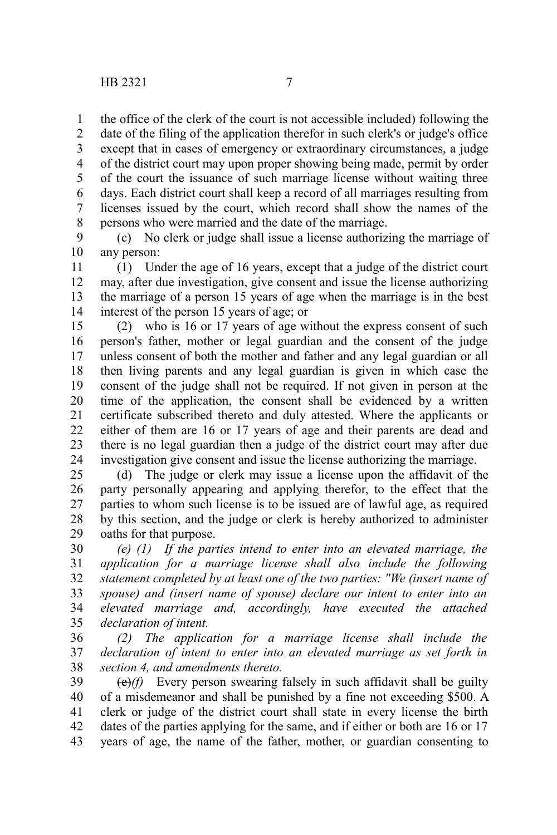the office of the clerk of the court is not accessible included) following the 1

date of the filing of the application therefor in such clerk's or judge's office except that in cases of emergency or extraordinary circumstances, a judge of the district court may upon proper showing being made, permit by order of the court the issuance of such marriage license without waiting three days. Each district court shall keep a record of all marriages resulting from licenses issued by the court, which record shall show the names of the persons who were married and the date of the marriage. 2 3 4 5 6 7 8

(c) No clerk or judge shall issue a license authorizing the marriage of any person: 9 10

(1) Under the age of 16 years, except that a judge of the district court may, after due investigation, give consent and issue the license authorizing the marriage of a person 15 years of age when the marriage is in the best interest of the person 15 years of age; or 11 12 13 14

(2) who is 16 or 17 years of age without the express consent of such person's father, mother or legal guardian and the consent of the judge unless consent of both the mother and father and any legal guardian or all then living parents and any legal guardian is given in which case the consent of the judge shall not be required. If not given in person at the time of the application, the consent shall be evidenced by a written certificate subscribed thereto and duly attested. Where the applicants or either of them are 16 or 17 years of age and their parents are dead and there is no legal guardian then a judge of the district court may after due investigation give consent and issue the license authorizing the marriage. 15 16 17 18 19 20 21 22 23 24

(d) The judge or clerk may issue a license upon the affidavit of the party personally appearing and applying therefor, to the effect that the parties to whom such license is to be issued are of lawful age, as required by this section, and the judge or clerk is hereby authorized to administer oaths for that purpose. 25 26 27 28 29

*(e) (1) If the parties intend to enter into an elevated marriage, the application for a marriage license shall also include the following statement completed by at least one of the two parties: "We (insert name of spouse) and (insert name of spouse) declare our intent to enter into an elevated marriage and, accordingly, have executed the attached declaration of intent.* 30 31 32 33 34 35

*(2) The application for a marriage license shall include the declaration of intent to enter into an elevated marriage as set forth in section 4, and amendments thereto.* 36 37 38

(e)*(f)* Every person swearing falsely in such affidavit shall be guilty of a misdemeanor and shall be punished by a fine not exceeding \$500. A clerk or judge of the district court shall state in every license the birth dates of the parties applying for the same, and if either or both are 16 or 17 years of age, the name of the father, mother, or guardian consenting to 39 40 41 42 43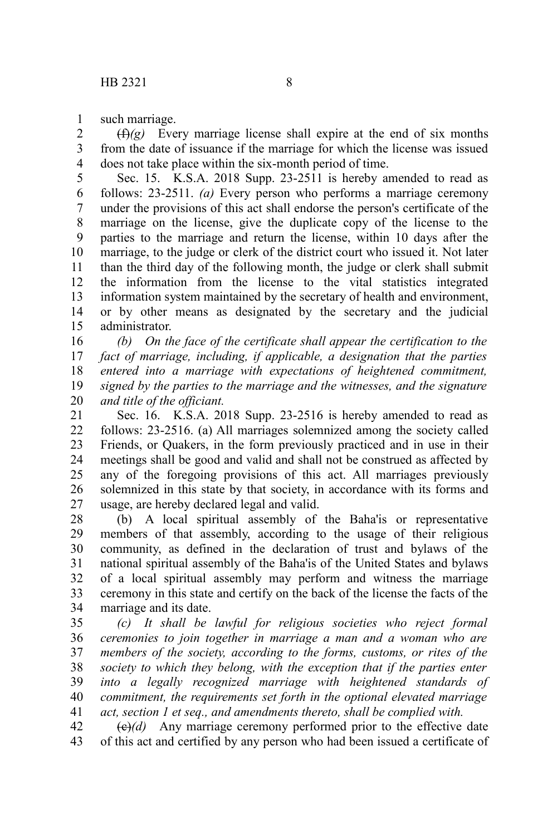such marriage. 1

 $(f(x))$  Every marriage license shall expire at the end of six months from the date of issuance if the marriage for which the license was issued does not take place within the six-month period of time. 2 3 4

Sec. 15. K.S.A. 2018 Supp. 23-2511 is hereby amended to read as follows: 23-2511. *(a)* Every person who performs a marriage ceremony under the provisions of this act shall endorse the person's certificate of the marriage on the license, give the duplicate copy of the license to the parties to the marriage and return the license, within 10 days after the marriage, to the judge or clerk of the district court who issued it. Not later than the third day of the following month, the judge or clerk shall submit the information from the license to the vital statistics integrated information system maintained by the secretary of health and environment, or by other means as designated by the secretary and the judicial administrator. 5 6 7 8 9 10 11 12 13 14 15

*(b) On the face of the certificate shall appear the certification to the fact of marriage, including, if applicable, a designation that the parties entered into a marriage with expectations of heightened commitment, signed by the parties to the marriage and the witnesses, and the signature and title of the officiant.* 16 17 18 19 20

Sec. 16. K.S.A. 2018 Supp. 23-2516 is hereby amended to read as follows: 23-2516. (a) All marriages solemnized among the society called Friends, or Quakers, in the form previously practiced and in use in their meetings shall be good and valid and shall not be construed as affected by any of the foregoing provisions of this act. All marriages previously solemnized in this state by that society, in accordance with its forms and usage, are hereby declared legal and valid. 21 22 23 24 25 26 27

(b) A local spiritual assembly of the Baha'is or representative members of that assembly, according to the usage of their religious community, as defined in the declaration of trust and bylaws of the national spiritual assembly of the Baha'is of the United States and bylaws of a local spiritual assembly may perform and witness the marriage ceremony in this state and certify on the back of the license the facts of the marriage and its date. 28 29 30 31 32 33 34

*(c) It shall be lawful for religious societies who reject formal ceremonies to join together in marriage a man and a woman who are members of the society, according to the forms, customs, or rites of the society to which they belong, with the exception that if the parties enter into a legally recognized marriage with heightened standards of commitment, the requirements set forth in the optional elevated marriage act, section 1 et seq., and amendments thereto, shall be complied with.* 35 36 37 38 39 40 41

 $\left(\frac{e}{e}\right)(d)$  Any marriage ceremony performed prior to the effective date of this act and certified by any person who had been issued a certificate of 42 43